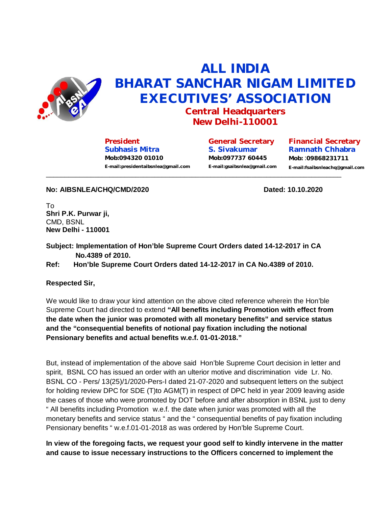

## **ALL INDIA BHARAT SANCHAR NIGAM LIMITED EXECUTIVES' ASSOCIATION**

**Central Headquarters New Delhi-110001**

**President Subhasis Mitra Mob:094320 01010 [E-mail:presidentaibsnlea@gmail.com](mailto:E-mail:presidentaibsnlea@gmail.com)**

**General Secretary S. Sivakumar Mob:097737 60445 [E-mail:gsaibsnlea@gmail.com](mailto:E-mail:gsaibsnlea@gmail.com)**

**Financial Secretary Ramnath Chhabra Mob:** :**09868231711 [E-mail:fsaibsnleachq@gmail.com](mailto:E-mail:fsaibsnleachq@gmail.com)**  $\overline{\phantom{a}}$  ,  $\overline{\phantom{a}}$  ,  $\overline{\phantom{a}}$  ,  $\overline{\phantom{a}}$  ,  $\overline{\phantom{a}}$  ,  $\overline{\phantom{a}}$  ,  $\overline{\phantom{a}}$  ,  $\overline{\phantom{a}}$  ,  $\overline{\phantom{a}}$  ,  $\overline{\phantom{a}}$  ,  $\overline{\phantom{a}}$  ,  $\overline{\phantom{a}}$  ,  $\overline{\phantom{a}}$  ,  $\overline{\phantom{a}}$  ,  $\overline{\phantom{a}}$  ,  $\overline{\phantom{a}}$ 

**No: AIBSNLEA/CHQ/CMD/2020 Dated: 10.10.2020**

To **Shri P.K. Purwar ji,**  CMD, BSNL **New Delhi - 110001**

**Subject: Implementation of Hon'ble Supreme Court Orders dated 14-12-2017 in CA No.4389 of 2010.**

**Ref: Hon'ble Supreme Court Orders dated 14-12-2017 in CA No.4389 of 2010.**

## **Respected Sir,**

We would like to draw your kind attention on the above cited reference wherein the Hon'ble Supreme Court had directed to extend **"All benefits including Promotion with effect from the date when the junior was promoted with all monetary benefits" and service status and the "consequential benefits of notional pay fixation including the notional Pensionary benefits and actual benefits w.e.f. 01-01-2018."**

But, instead of implementation of the above said Hon'ble Supreme Court decision in letter and spirit, BSNL CO has issued an order with an ulterior motive and discrimination vide Lr. No. BSNL CO - Pers/ 13(25)/1/2020-Pers-I dated 21-07-2020 and subsequent letters on the subject for holding review DPC for SDE (T)to AGM(T) in respect of DPC held in year 2009 leaving aside the cases of those who were promoted by DOT before and after absorption in BSNL just to deny " All benefits including Promotion w.e.f. the date when junior was promoted with all the monetary benefits and service status " and the " consequential benefits of pay fixation including Pensionary benefits " w.e.f.01-01-2018 as was ordered by Hon'ble Supreme Court.

**In view of the foregoing facts, we request your good self to kindly intervene in the matter and cause to issue necessary instructions to the Officers concerned to implement the**